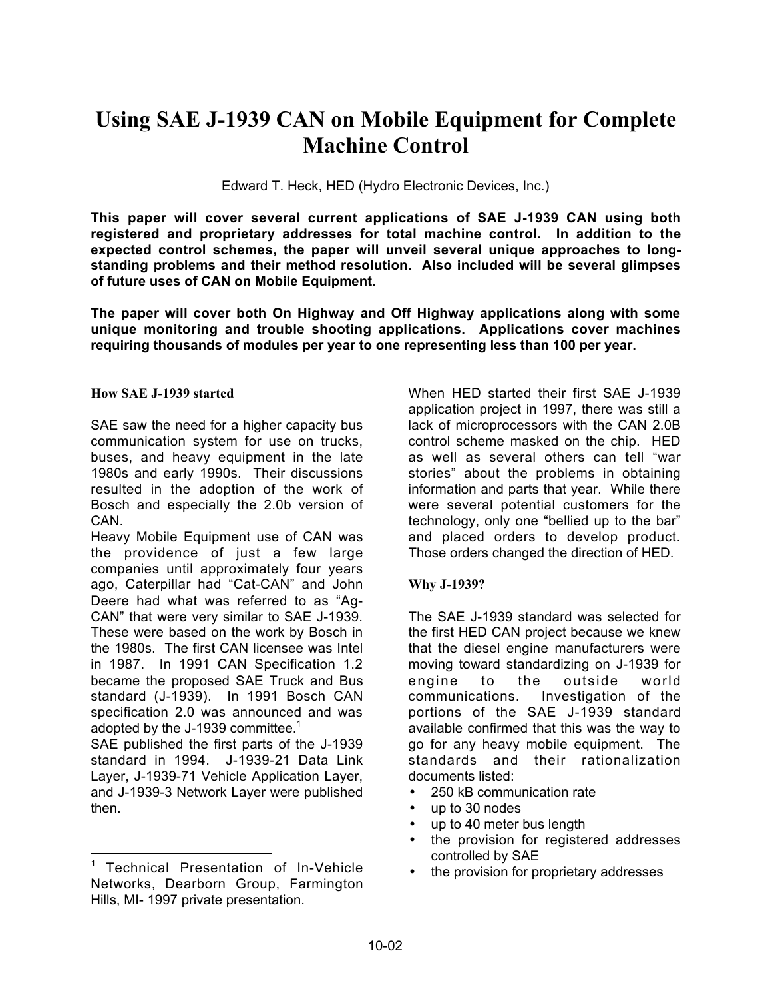# **Using SAE J-1939 CAN on Mobile Equipment for Complete Machine Control**

Edward T. Heck, HED (Hydro Electronic Devices, Inc.)

**This paper will cover several current applications of SAE J-1939 CAN using both registered and proprietary addresses for total machine control. In addition to the expected control schemes, the paper will unveil several unique approaches to longstanding problems and their method resolution. Also included will be several glimpses of future uses of CAN on Mobile Equipment.**

**The paper will cover both On Highway and Off Highway applications along with some unique monitoring and trouble shooting applications. Applications cover machines requiring thousands of modules per year to one representing less than 100 per year.**

#### **How SAE J-1939 started**

SAE saw the need for a higher capacity bus communication system for use on trucks, buses, and heavy equipment in the late 1980s and early 1990s. Their discussions resulted in the adoption of the work of Bosch and especially the 2.0b version of CAN.

Heavy Mobile Equipment use of CAN was the providence of just a few large companies until approximately four years ago, Caterpillar had "Cat-CAN" and John Deere had what was referred to as "Ag-CAN" that were very similar to SAE J-1939. These were based on the work by Bosch in the 1980s. The first CAN licensee was Intel in 1987. In 1991 CAN Specification 1.2 became the proposed SAE Truck and Bus standard (J-1939). In 1991 Bosch CAN specification 2.0 was announced and was adopted by the J-1939 committee.<sup>1</sup>

SAE published the first parts of the J-1939 standard in 1994. J-1939-21 Data Link Layer, J-1939-71 Vehicle Application Layer, and J-1939-3 Network Layer were published then.

When HED started their first SAE J-1939 application project in 1997, there was still a lack of microprocessors with the CAN 2.0B control scheme masked on the chip. HED as well as several others can tell "war stories" about the problems in obtaining information and parts that year. While there were several potential customers for the technology, only one "bellied up to the bar" and placed orders to develop product. Those orders changed the direction of HED.

#### **Why J-1939?**

The SAE J-1939 standard was selected for the first HED CAN project because we knew that the diesel engine manufacturers were moving toward standardizing on J-1939 for engine to the outside world communications. Investigation of the portions of the SAE J-1939 standard available confirmed that this was the way to go for any heavy mobile equipment. The standards and their rationalization documents listed:

- 250 kB communication rate
- up to 30 nodes
- up to 40 meter bus length
- the provision for registered addresses controlled by SAE
- the provision for proprietary addresses

 <sup>1</sup> Technical Presentation of In-Vehicle Networks, Dearborn Group, Farmington Hills, MI- 1997 private presentation.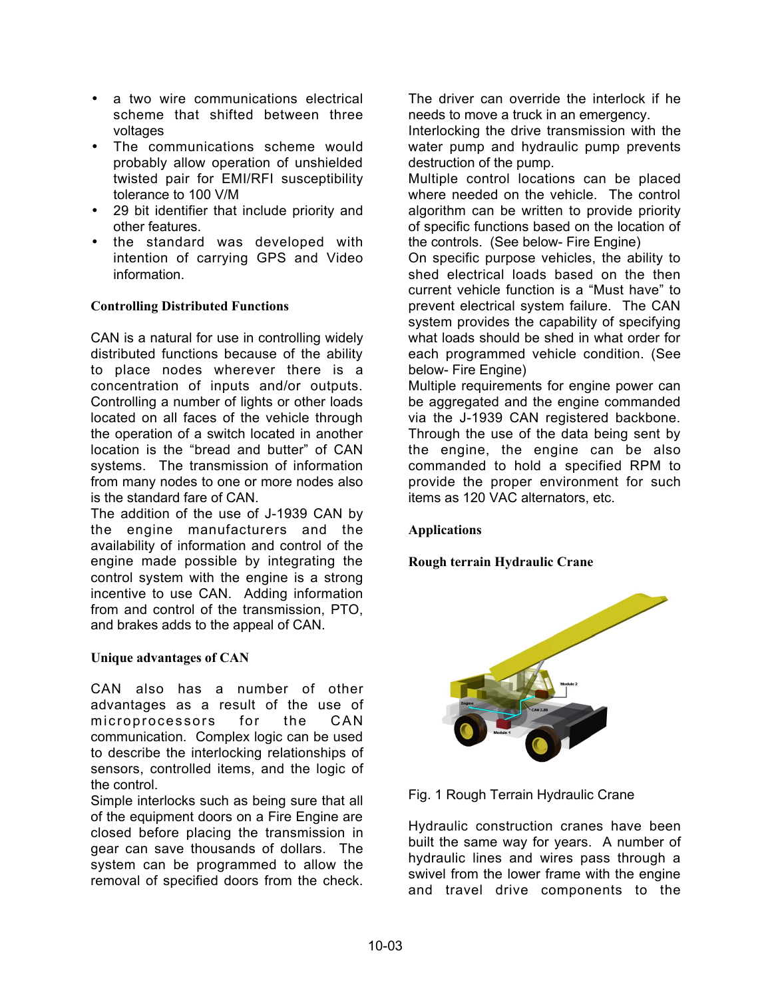- a two wire communications electrical scheme that shifted between three voltages
- The communications scheme would probably allow operation of unshielded twisted pair for EMI/RFI susceptibility tolerance to 100 V/M
- 29 bit identifier that include priority and other features.
- the standard was developed with intention of carrying GPS and Video information.

## **Controlling Distributed Functions**

CAN is a natural for use in controlling widely distributed functions because of the ability to place nodes wherever there is a concentration of inputs and/or outputs. Controlling a number of lights or other loads located on all faces of the vehicle through the operation of a switch located in another location is the "bread and butter" of CAN systems. The transmission of information from many nodes to one or more nodes also is the standard fare of CAN.

The addition of the use of J-1939 CAN by the engine manufacturers and the availability of information and control of the engine made possible by integrating the control system with the engine is a strong incentive to use CAN. Adding information from and control of the transmission, PTO, and brakes adds to the appeal of CAN.

## **Unique advantages of CAN**

CAN also has a number of other advantages as a result of the use of microprocessors for the CAN communication. Complex logic can be used to describe the interlocking relationships of sensors, controlled items, and the logic of the control.

Simple interlocks such as being sure that all of the equipment doors on a Fire Engine are closed before placing the transmission in gear can save thousands of dollars. The system can be programmed to allow the removal of specified doors from the check.

The driver can override the interlock if he needs to move a truck in an emergency.

Interlocking the drive transmission with the water pump and hydraulic pump prevents destruction of the pump.

Multiple control locations can be placed where needed on the vehicle. The control algorithm can be written to provide priority of specific functions based on the location of the controls. (See below- Fire Engine)

On specific purpose vehicles, the ability to shed electrical loads based on the then current vehicle function is a "Must have" to prevent electrical system failure. The CAN system provides the capability of specifying what loads should be shed in what order for each programmed vehicle condition. (See below- Fire Engine)

Multiple requirements for engine power can be aggregated and the engine commanded via the J-1939 CAN registered backbone. Through the use of the data being sent by the engine, the engine can be also commanded to hold a specified RPM to provide the proper environment for such items as 120 VAC alternators, etc.

## **Applications**

**Rough terrain Hydraulic Crane**





Hydraulic construction cranes have been built the same way for years. A number of hydraulic lines and wires pass through a swivel from the lower frame with the engine and travel drive components to the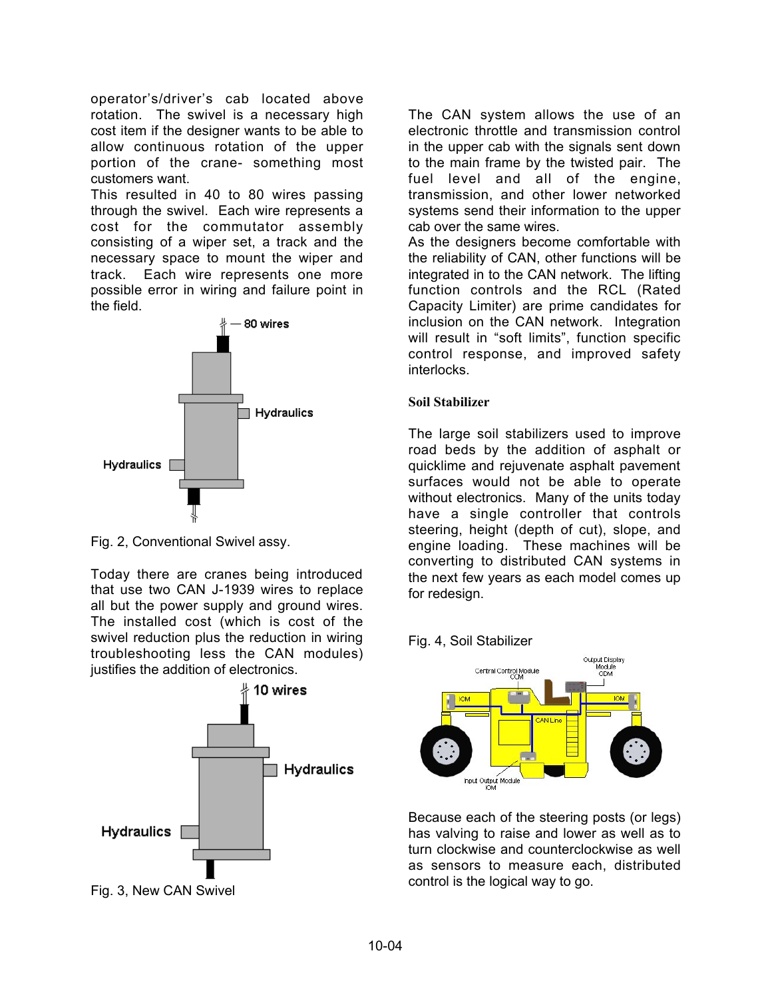operator's/driver's cab located above rotation. The swivel is a necessary high cost item if the designer wants to be able to allow continuous rotation of the upper portion of the crane- something most customers want.

This resulted in 40 to 80 wires passing through the swivel. Each wire represents a cost for the commutator assembly consisting of a wiper set, a track and the necessary space to mount the wiper and track. Each wire represents one more possible error in wiring and failure point in the field.



Fig. 2, Conventional Swivel assy.

Today there are cranes being introduced that use two CAN J-1939 wires to replace all but the power supply and ground wires. The installed cost (which is cost of the swivel reduction plus the reduction in wiring troubleshooting less the CAN modules) justifies the addition of electronics.



Fig. 3, New CAN Swivel

The CAN system allows the use of an electronic throttle and transmission control in the upper cab with the signals sent down to the main frame by the twisted pair. The fuel level and all of the engine, transmission, and other lower networked systems send their information to the upper cab over the same wires.

As the designers become comfortable with the reliability of CAN, other functions will be integrated in to the CAN network. The lifting function controls and the RCL (Rated Capacity Limiter) are prime candidates for inclusion on the CAN network. Integration will result in "soft limits", function specific control response, and improved safety interlocks.

## **Soil Stabilizer**

The large soil stabilizers used to improve road beds by the addition of asphalt or quicklime and rejuvenate asphalt pavement surfaces would not be able to operate without electronics. Many of the units today have a single controller that controls steering, height (depth of cut), slope, and engine loading. These machines will be converting to distributed CAN systems in the next few years as each model comes up for redesign.





Because each of the steering posts (or legs) has valving to raise and lower as well as to turn clockwise and counterclockwise as well as sensors to measure each, distributed control is the logical way to go.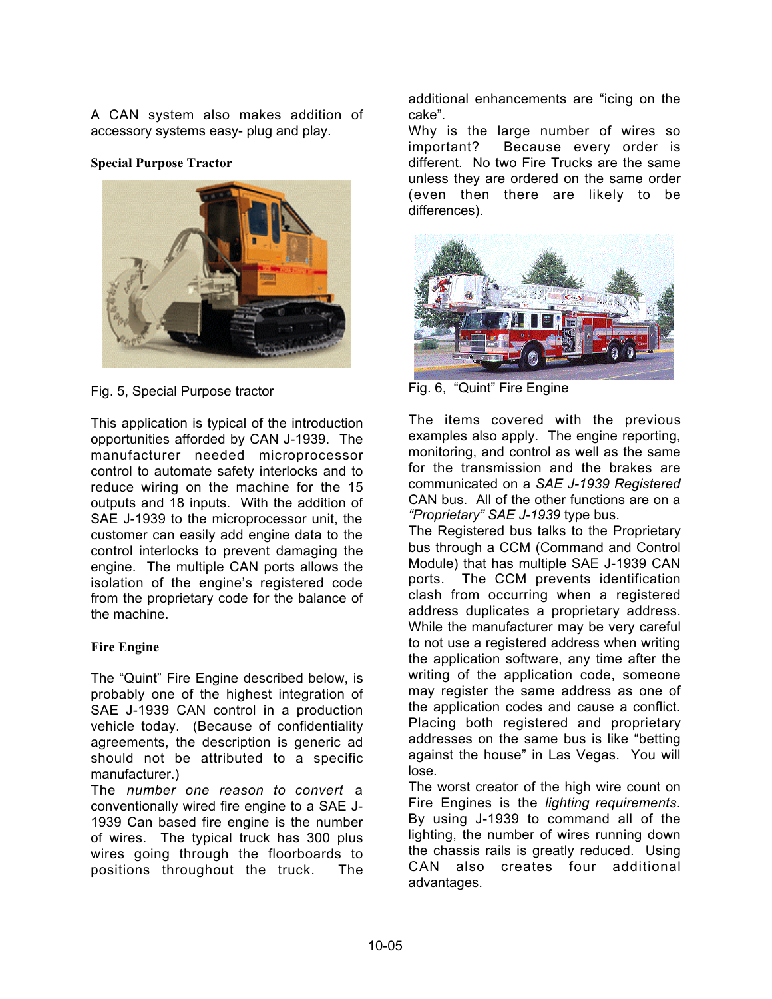A CAN system also makes addition of accessory systems easy- plug and play.

#### **Special Purpose Tractor**



Fig. 5, Special Purpose tractor

This application is typical of the introduction opportunities afforded by CAN J-1939. The manufacturer needed microprocessor control to automate safety interlocks and to reduce wiring on the machine for the 15 outputs and 18 inputs. With the addition of SAE J-1939 to the microprocessor unit, the customer can easily add engine data to the control interlocks to prevent damaging the engine. The multiple CAN ports allows the isolation of the engine's registered code from the proprietary code for the balance of the machine.

## **Fire Engine**

The "Quint" Fire Engine described below, is probably one of the highest integration of SAE J-1939 CAN control in a production vehicle today. (Because of confidentiality agreements, the description is generic ad should not be attributed to a specific manufacturer.)

The *number one reason to convert* a conventionally wired fire engine to a SAE J-1939 Can based fire engine is the number of wires. The typical truck has 300 plus wires going through the floorboards to positions throughout the truck. The

additional enhancements are "icing on the cake".

Why is the large number of wires so important? Because every order is different. No two Fire Trucks are the same unless they are ordered on the same order (even then there are likely to be differences).



Fig. 6, "Quint" Fire Engine

The items covered with the previous examples also apply. The engine reporting, monitoring, and control as well as the same for the transmission and the brakes are communicated on a *SAE J-1939 Registered* CAN bus. All of the other functions are on a *"Proprietary" SAE J-1939* type bus.

The Registered bus talks to the Proprietary bus through a CCM (Command and Control Module) that has multiple SAE J-1939 CAN ports. The CCM prevents identification clash from occurring when a registered address duplicates a proprietary address. While the manufacturer may be very careful to not use a registered address when writing the application software, any time after the writing of the application code, someone may register the same address as one of the application codes and cause a conflict. Placing both registered and proprietary addresses on the same bus is like "betting against the house" in Las Vegas. You will lose.

The worst creator of the high wire count on Fire Engines is the *lighting requirements*. By using J-1939 to command all of the lighting, the number of wires running down the chassis rails is greatly reduced. Using CAN also creates four additional advantages.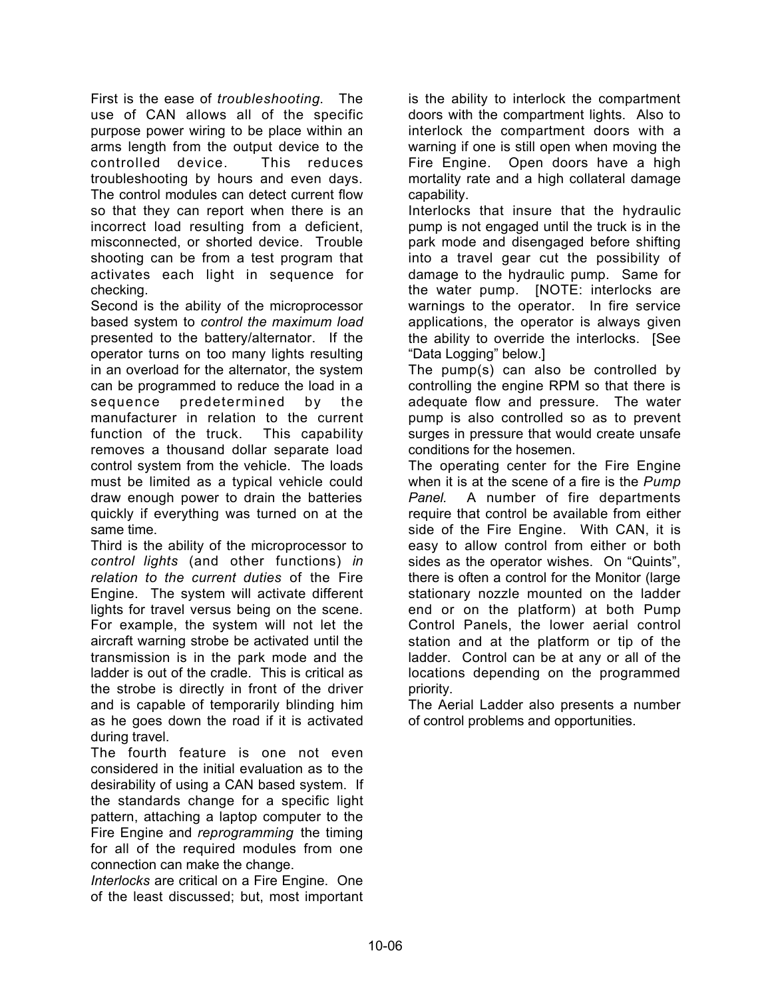First is the ease of *troubleshooting*. The use of CAN allows all of the specific purpose power wiring to be place within an arms length from the output device to the controlled device. This reduces troubleshooting by hours and even days. The control modules can detect current flow so that they can report when there is an incorrect load resulting from a deficient, misconnected, or shorted device. Trouble shooting can be from a test program that activates each light in sequence for checking.

Second is the ability of the microprocessor based system to *control the maximum load* presented to the battery/alternator. If the operator turns on too many lights resulting in an overload for the alternator, the system can be programmed to reduce the load in a sequence predetermined by the manufacturer in relation to the current function of the truck. This capability removes a thousand dollar separate load control system from the vehicle. The loads must be limited as a typical vehicle could draw enough power to drain the batteries quickly if everything was turned on at the same time.

Third is the ability of the microprocessor to *control lights* (and other functions) *in relation to the current duties* of the Fire Engine. The system will activate different lights for travel versus being on the scene. For example, the system will not let the aircraft warning strobe be activated until the transmission is in the park mode and the ladder is out of the cradle. This is critical as the strobe is directly in front of the driver and is capable of temporarily blinding him as he goes down the road if it is activated during travel.

The fourth feature is one not even considered in the initial evaluation as to the desirability of using a CAN based system. If the standards change for a specific light pattern, attaching a laptop computer to the Fire Engine and *reprogramming* the timing for all of the required modules from one connection can make the change.

*Interlocks* are critical on a Fire Engine. One of the least discussed; but, most important

is the ability to interlock the compartment doors with the compartment lights. Also to interlock the compartment doors with a warning if one is still open when moving the Fire Engine. Open doors have a high mortality rate and a high collateral damage capability.

Interlocks that insure that the hydraulic pump is not engaged until the truck is in the park mode and disengaged before shifting into a travel gear cut the possibility of damage to the hydraulic pump. Same for the water pump. [NOTE: interlocks are warnings to the operator. In fire service applications, the operator is always given the ability to override the interlocks. [See "Data Logging" below.]

The pump(s) can also be controlled by controlling the engine RPM so that there is adequate flow and pressure. The water pump is also controlled so as to prevent surges in pressure that would create unsafe conditions for the hosemen.

The operating center for the Fire Engine when it is at the scene of a fire is the *Pump Panel.* A number of fire departments require that control be available from either side of the Fire Engine. With CAN, it is easy to allow control from either or both sides as the operator wishes. On "Quints", there is often a control for the Monitor (large stationary nozzle mounted on the ladder end or on the platform) at both Pump Control Panels, the lower aerial control station and at the platform or tip of the ladder. Control can be at any or all of the locations depending on the programmed priority.

The Aerial Ladder also presents a number of control problems and opportunities.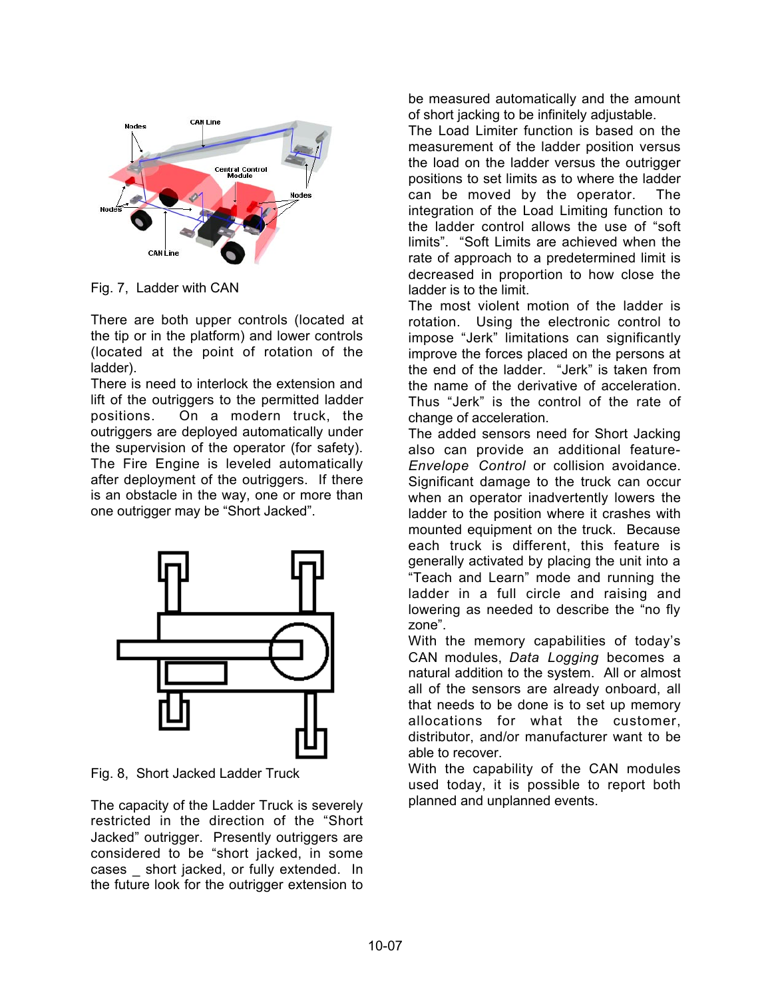

Fig. 7, Ladder with CAN

There are both upper controls (located at the tip or in the platform) and lower controls (located at the point of rotation of the ladder).

There is need to interlock the extension and lift of the outriggers to the permitted ladder positions. On a modern truck, the outriggers are deployed automatically under the supervision of the operator (for safety). The Fire Engine is leveled automatically after deployment of the outriggers. If there is an obstacle in the way, one or more than one outrigger may be "Short Jacked".



Fig. 8, Short Jacked Ladder Truck

The capacity of the Ladder Truck is severely restricted in the direction of the "Short Jacked" outrigger. Presently outriggers are considered to be "short jacked, in some cases \_ short jacked, or fully extended. In the future look for the outrigger extension to

be measured automatically and the amount of short jacking to be infinitely adjustable.

The Load Limiter function is based on the measurement of the ladder position versus the load on the ladder versus the outrigger positions to set limits as to where the ladder can be moved by the operator. The integration of the Load Limiting function to the ladder control allows the use of "soft limits". "Soft Limits are achieved when the rate of approach to a predetermined limit is decreased in proportion to how close the ladder is to the limit.

The most violent motion of the ladder is rotation. Using the electronic control to impose "Jerk" limitations can significantly improve the forces placed on the persons at the end of the ladder. "Jerk" is taken from the name of the derivative of acceleration. Thus "Jerk" is the control of the rate of change of acceleration.

The added sensors need for Short Jacking also can provide an additional feature-*Envelope Control* or collision avoidance. Significant damage to the truck can occur when an operator inadvertently lowers the ladder to the position where it crashes with mounted equipment on the truck. Because each truck is different, this feature is generally activated by placing the unit into a "Teach and Learn" mode and running the ladder in a full circle and raising and lowering as needed to describe the "no fly zone".

With the memory capabilities of today's CAN modules, *Data Logging* becomes a natural addition to the system. All or almost all of the sensors are already onboard, all that needs to be done is to set up memory allocations for what the customer, distributor, and/or manufacturer want to be able to recover.

With the capability of the CAN modules used today, it is possible to report both planned and unplanned events.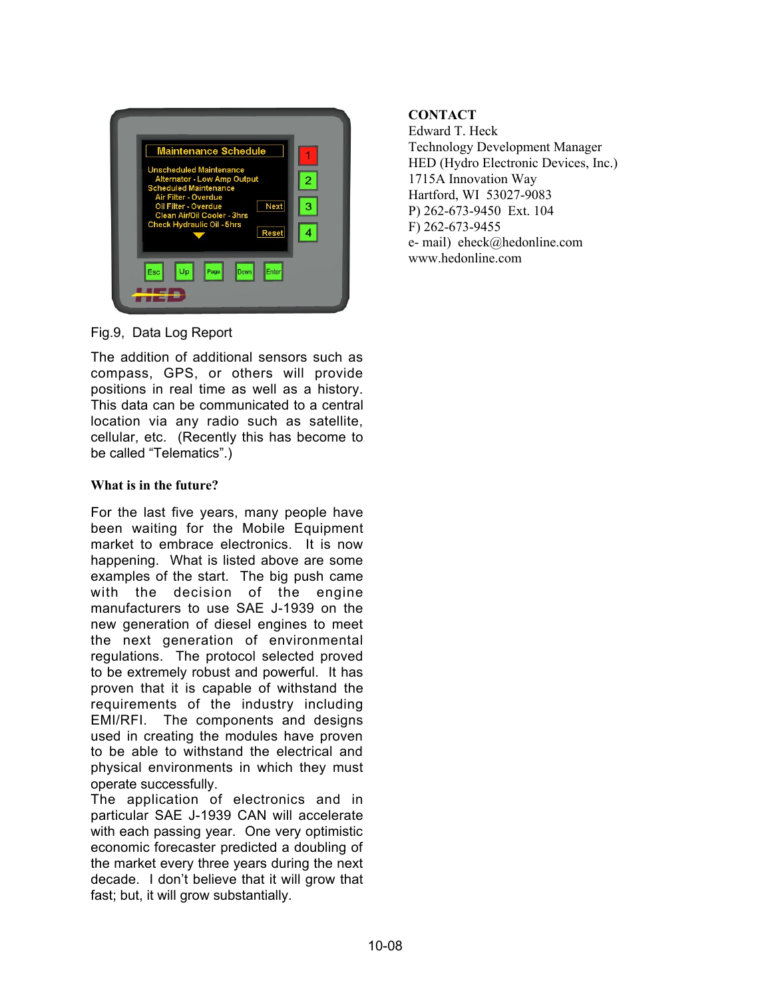

Fig.9, Data Log Report

The addition of additional sensors such as compass, GPS, or others will provide positions in real time as well as a history. This data can be communicated to a central location via any radio such as satellite, cellular, etc. (Recently this has become to be called "Telematics".)

## **What is in the future?**

For the last five years, many people have been waiting for the Mobile Equipment market to embrace electronics. It is now happening. What is listed above are some examples of the start. The big push came with the decision of the engine manufacturers to use SAE J-1939 on the new generation of diesel engines to meet the next generation of environmental regulations. The protocol selected proved to be extremely robust and powerful. It has proven that it is capable of withstand the requirements of the industry including EMI/RFI. The components and designs used in creating the modules have proven to be able to withstand the electrical and physical environments in which they must operate successfully.

The application of electronics and in particular SAE J-1939 CAN will accelerate with each passing year. One very optimistic economic forecaster predicted a doubling of the market every three years during the next decade. I don't believe that it will grow that fast; but, it will grow substantially.

# **CONTACT**

Edward T. Heck Technology Development Manager HED (Hydro Electronic Devices, Inc.) 1715A Innovation Way Hartford, WI 53027-9083 P) 262-673-9450 Ext. 104 F) 262-673-9455 e- mail) eheck@hedonline.com www.hedonline.com